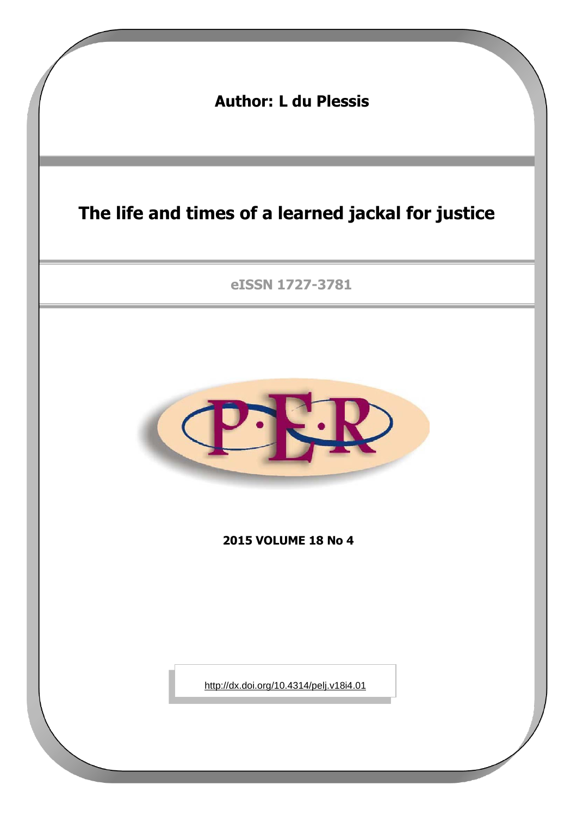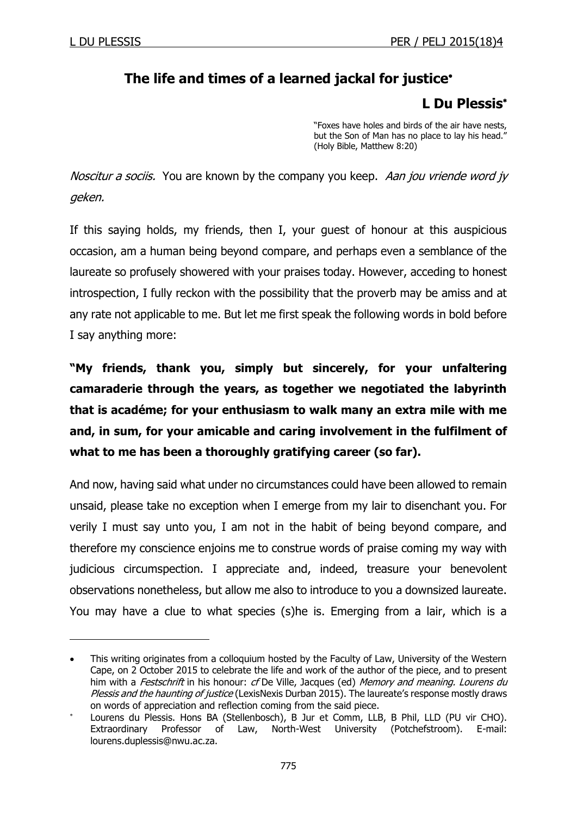-

## **The life and times of a learned jackal for justice**

## **L Du Plessis**

"Foxes have holes and birds of the air have nests, but the Son of Man has no place to lay his head." (Holy Bible, Matthew 8:20)

Noscitur a sociis. You are known by the company you keep. Aan jou vriende word jy geken.

If this saying holds, my friends, then I, your guest of honour at this auspicious occasion, am a human being beyond compare, and perhaps even a semblance of the laureate so profusely showered with your praises today. However, acceding to honest introspection, I fully reckon with the possibility that the proverb may be amiss and at any rate not applicable to me. But let me first speak the following words in bold before I say anything more:

**"My friends, thank you, simply but sincerely, for your unfaltering camaraderie through the years, as together we negotiated the labyrinth that is académe; for your enthusiasm to walk many an extra mile with me and, in sum, for your amicable and caring involvement in the fulfilment of what to me has been a thoroughly gratifying career (so far).**

And now, having said what under no circumstances could have been allowed to remain unsaid, please take no exception when I emerge from my lair to disenchant you. For verily I must say unto you, I am not in the habit of being beyond compare, and therefore my conscience enjoins me to construe words of praise coming my way with judicious circumspection. I appreciate and, indeed, treasure your benevolent observations nonetheless, but allow me also to introduce to you a downsized laureate. You may have a clue to what species (s)he is. Emerging from a lair, which is a

This writing originates from a colloquium hosted by the Faculty of Law, University of the Western Cape, on 2 October 2015 to celebrate the life and work of the author of the piece, and to present him with a Festschrift in his honour: cf De Ville, Jacques (ed) Memory and meaning. Lourens du Plessis and the haunting of justice (LexisNexis Durban 2015). The laureate's response mostly draws on words of appreciation and reflection coming from the said piece.

Lourens du Plessis. Hons BA (Stellenbosch), B Jur et Comm, LLB, B Phil, LLD (PU vir CHO). Extraordinary Professor of Law, North-West University (Potchefstroom). E-mail: lourens.duplessis@nwu.ac.za.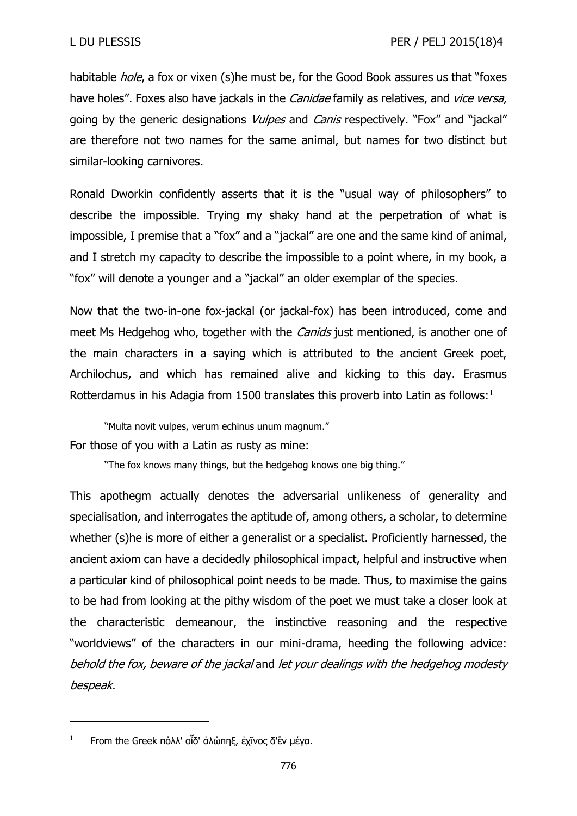habitable *hole*, a fox or vixen (s)he must be, for the Good Book assures us that "foxes have holes". Foxes also have jackals in the *Canidae* family as relatives, and *vice versa*, going by the generic designations Vulpes and Canis respectively. "Fox" and "jackal" are therefore not two names for the same animal, but names for two distinct but similar-looking carnivores.

Ronald Dworkin confidently asserts that it is the "usual way of philosophers" to describe the impossible. Trying my shaky hand at the perpetration of what is impossible, I premise that a "fox" and a "jackal" are one and the same kind of animal, and I stretch my capacity to describe the impossible to a point where, in my book, a "fox" will denote a younger and a "jackal" an older exemplar of the species.

Now that the two-in-one fox-jackal (or jackal-fox) has been introduced, come and meet Ms Hedgehog who, together with the *Canids* just mentioned, is another one of the main characters in a saying which is attributed to the ancient Greek poet, Archilochus, and which has remained alive and kicking to this day. Erasmus Rotterdamus in his Adagia from 1500 translates this proverb into Latin as follows:<sup>1</sup>

"Multa novit vulpes, verum echinus unum magnum." For those of you with a Latin as rusty as mine:

"The fox knows many things, but the hedgehog knows one big thing."

This apothegm actually denotes the adversarial unlikeness of generality and specialisation, and interrogates the aptitude of, among others, a scholar, to determine whether (s)he is more of either a generalist or a specialist. Proficiently harnessed, the ancient axiom can have a decidedly philosophical impact, helpful and instructive when a particular kind of philosophical point needs to be made. Thus, to maximise the gains to be had from looking at the pithy wisdom of the poet we must take a closer look at the characteristic demeanour, the instinctive reasoning and the respective "worldviews" of the characters in our mini-drama, heeding the following advice: behold the fox, beware of the jackal and let your dealings with the hedgehog modesty bespeak.

-

<sup>&</sup>lt;sup>1</sup> From the Greek πόλλ' οἶδ' άλώπηξ, έχῖνος δ'ἓν μέγα.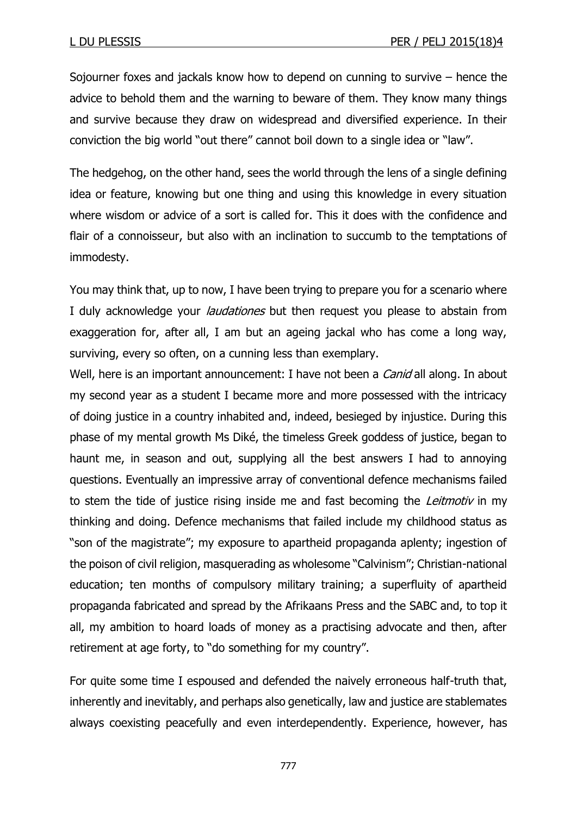Sojourner foxes and jackals know how to depend on cunning to survive – hence the advice to behold them and the warning to beware of them. They know many things and survive because they draw on widespread and diversified experience. In their conviction the big world "out there" cannot boil down to a single idea or "law".

The hedgehog, on the other hand, sees the world through the lens of a single defining idea or feature, knowing but one thing and using this knowledge in every situation where wisdom or advice of a sort is called for. This it does with the confidence and flair of a connoisseur, but also with an inclination to succumb to the temptations of immodesty.

You may think that, up to now, I have been trying to prepare you for a scenario where I duly acknowledge your *laudationes* but then request you please to abstain from exaggeration for, after all, I am but an ageing jackal who has come a long way, surviving, every so often, on a cunning less than exemplary.

Well, here is an important announcement: I have not been a *Canid* all along. In about my second year as a student I became more and more possessed with the intricacy of doing justice in a country inhabited and, indeed, besieged by injustice. During this phase of my mental growth Ms Diké, the timeless Greek goddess of justice, began to haunt me, in season and out, supplying all the best answers I had to annoying questions. Eventually an impressive array of conventional defence mechanisms failed to stem the tide of justice rising inside me and fast becoming the Leitmotiv in my thinking and doing. Defence mechanisms that failed include my childhood status as "son of the magistrate"; my exposure to apartheid propaganda aplenty; ingestion of the poison of civil religion, masquerading as wholesome "Calvinism"; Christian-national education; ten months of compulsory military training; a superfluity of apartheid propaganda fabricated and spread by the Afrikaans Press and the SABC and, to top it all, my ambition to hoard loads of money as a practising advocate and then, after retirement at age forty, to "do something for my country".

For quite some time I espoused and defended the naively erroneous half-truth that, inherently and inevitably, and perhaps also genetically, law and justice are stablemates always coexisting peacefully and even interdependently. Experience, however, has

777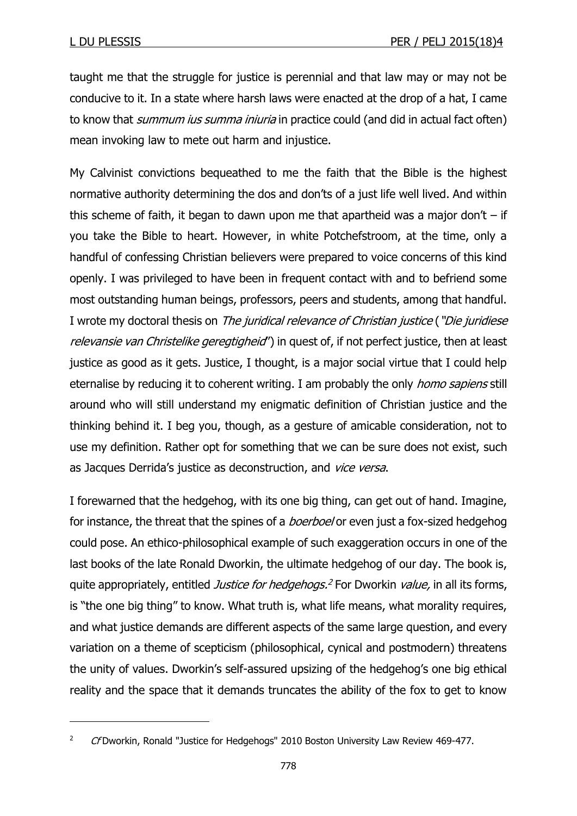-

taught me that the struggle for justice is perennial and that law may or may not be conducive to it. In a state where harsh laws were enacted at the drop of a hat, I came to know that *summum ius summa iniuria* in practice could (and did in actual fact often) mean invoking law to mete out harm and injustice.

My Calvinist convictions bequeathed to me the faith that the Bible is the highest normative authority determining the dos and don'ts of a just life well lived. And within this scheme of faith, it began to dawn upon me that apartheid was a major don't  $-$  if you take the Bible to heart. However, in white Potchefstroom, at the time, only a handful of confessing Christian believers were prepared to voice concerns of this kind openly. I was privileged to have been in frequent contact with and to befriend some most outstanding human beings, professors, peers and students, among that handful. I wrote my doctoral thesis on The juridical relevance of Christian justice ("Die juridiese relevansie van Christelike geregtigheid") in quest of, if not perfect justice, then at least justice as good as it gets. Justice, I thought, is a major social virtue that I could help eternalise by reducing it to coherent writing. I am probably the only *homo sapiens* still around who will still understand my enigmatic definition of Christian justice and the thinking behind it. I beg you, though, as a gesture of amicable consideration, not to use my definition. Rather opt for something that we can be sure does not exist, such as Jacques Derrida's justice as deconstruction, and vice versa.

I forewarned that the hedgehog, with its one big thing, can get out of hand. Imagine, for instance, the threat that the spines of a *boerboel* or even just a fox-sized hedgehog could pose. An ethico-philosophical example of such exaggeration occurs in one of the last books of the late Ronald Dworkin, the ultimate hedgehog of our day. The book is, quite appropriately, entitled *Justice for hedgehogs.<sup>2</sup>* For Dworkin *value,* in all its forms, is "the one big thing" to know. What truth is, what life means, what morality requires, and what justice demands are different aspects of the same large question, and every variation on a theme of scepticism (philosophical, cynical and postmodern) threatens the unity of values. Dworkin's self-assured upsizing of the hedgehog's one big ethical reality and the space that it demands truncates the ability of the fox to get to know

<sup>&</sup>lt;sup>2</sup> Cf Dworkin, Ronald "Justice for Hedgehogs" 2010 Boston University Law Review 469-477.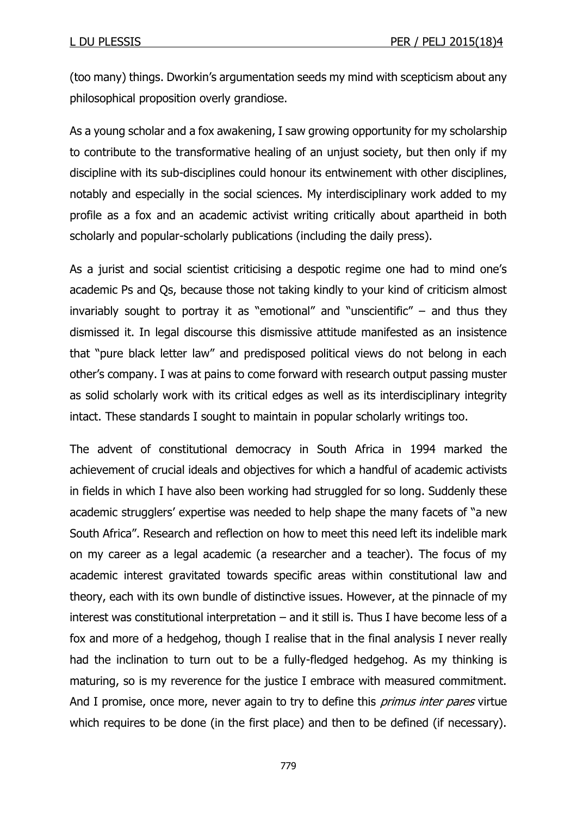(too many) things. Dworkin's argumentation seeds my mind with scepticism about any philosophical proposition overly grandiose.

As a young scholar and a fox awakening, I saw growing opportunity for my scholarship to contribute to the transformative healing of an unjust society, but then only if my discipline with its sub-disciplines could honour its entwinement with other disciplines, notably and especially in the social sciences. My interdisciplinary work added to my profile as a fox and an academic activist writing critically about apartheid in both scholarly and popular-scholarly publications (including the daily press).

As a jurist and social scientist criticising a despotic regime one had to mind one's academic Ps and Qs, because those not taking kindly to your kind of criticism almost invariably sought to portray it as "emotional" and "unscientific" – and thus they dismissed it. In legal discourse this dismissive attitude manifested as an insistence that "pure black letter law" and predisposed political views do not belong in each other's company. I was at pains to come forward with research output passing muster as solid scholarly work with its critical edges as well as its interdisciplinary integrity intact. These standards I sought to maintain in popular scholarly writings too.

The advent of constitutional democracy in South Africa in 1994 marked the achievement of crucial ideals and objectives for which a handful of academic activists in fields in which I have also been working had struggled for so long. Suddenly these academic strugglers' expertise was needed to help shape the many facets of "a new South Africa". Research and reflection on how to meet this need left its indelible mark on my career as a legal academic (a researcher and a teacher). The focus of my academic interest gravitated towards specific areas within constitutional law and theory, each with its own bundle of distinctive issues. However, at the pinnacle of my interest was constitutional interpretation – and it still is. Thus I have become less of a fox and more of a hedgehog, though I realise that in the final analysis I never really had the inclination to turn out to be a fully-fledged hedgehog. As my thinking is maturing, so is my reverence for the justice I embrace with measured commitment. And I promise, once more, never again to try to define this *primus inter pares* virtue which requires to be done (in the first place) and then to be defined (if necessary).

779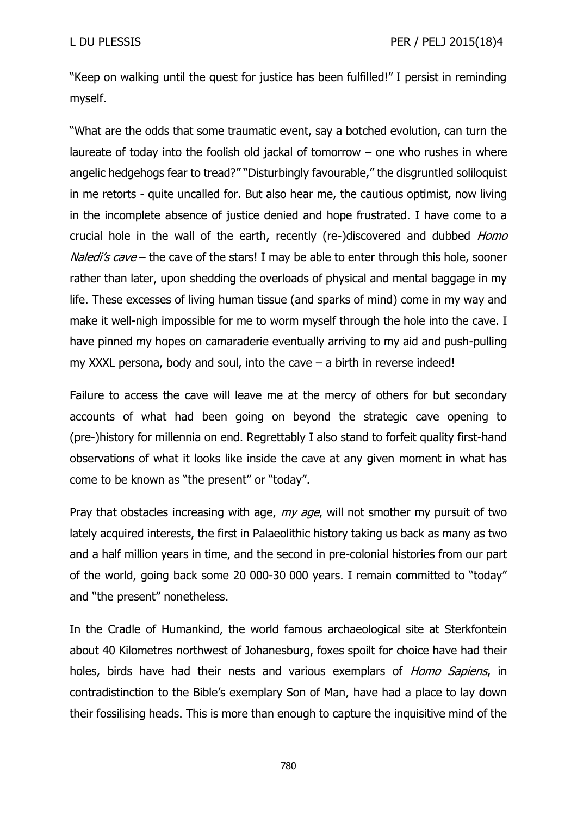"Keep on walking until the quest for justice has been fulfilled!" I persist in reminding myself.

"What are the odds that some traumatic event, say a botched evolution, can turn the laureate of today into the foolish old jackal of tomorrow – one who rushes in where angelic hedgehogs fear to tread?" "Disturbingly favourable," the disgruntled soliloquist in me retorts - quite uncalled for. But also hear me, the cautious optimist, now living in the incomplete absence of justice denied and hope frustrated. I have come to a crucial hole in the wall of the earth, recently (re-)discovered and dubbed Homo Naledi's cave – the cave of the stars! I may be able to enter through this hole, sooner rather than later, upon shedding the overloads of physical and mental baggage in my life. These excesses of living human tissue (and sparks of mind) come in my way and make it well-nigh impossible for me to worm myself through the hole into the cave. I have pinned my hopes on camaraderie eventually arriving to my aid and push-pulling my XXXL persona, body and soul, into the cave – a birth in reverse indeed!

Failure to access the cave will leave me at the mercy of others for but secondary accounts of what had been going on beyond the strategic cave opening to (pre-)history for millennia on end. Regrettably I also stand to forfeit quality first-hand observations of what it looks like inside the cave at any given moment in what has come to be known as "the present" or "today".

Pray that obstacles increasing with age, my age, will not smother my pursuit of two lately acquired interests, the first in Palaeolithic history taking us back as many as two and a half million years in time, and the second in pre-colonial histories from our part of the world, going back some 20 000-30 000 years. I remain committed to "today" and "the present" nonetheless.

In the Cradle of Humankind, the world famous archaeological site at Sterkfontein about 40 Kilometres northwest of Johanesburg, foxes spoilt for choice have had their holes, birds have had their nests and various exemplars of *Homo Sapiens*, in contradistinction to the Bible's exemplary Son of Man, have had a place to lay down their fossilising heads. This is more than enough to capture the inquisitive mind of the

780